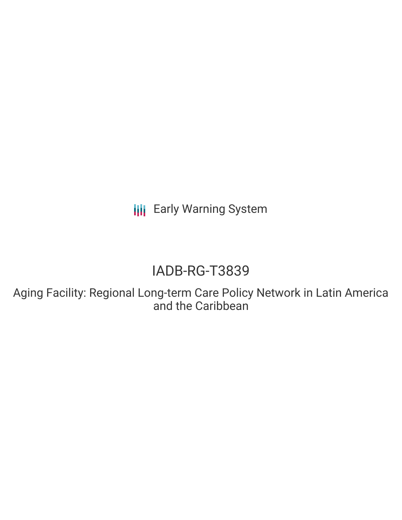**III** Early Warning System

# IADB-RG-T3839

Aging Facility: Regional Long-term Care Policy Network in Latin America and the Caribbean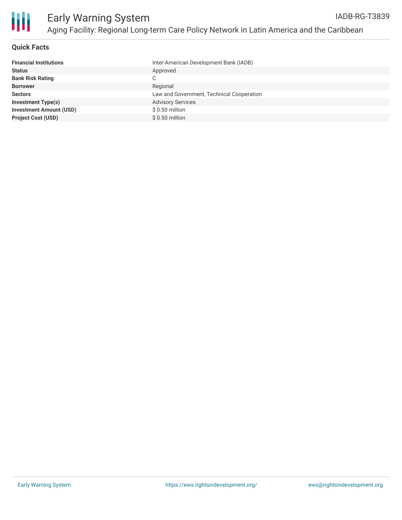

Ш

# **Quick Facts**

| <b>Financial Institutions</b>  | Inter-American Development Bank (IADB)    |
|--------------------------------|-------------------------------------------|
| <b>Status</b>                  | Approved                                  |
| <b>Bank Risk Rating</b>        | C                                         |
| <b>Borrower</b>                | Regional                                  |
| <b>Sectors</b>                 | Law and Government, Technical Cooperation |
| <b>Investment Type(s)</b>      | <b>Advisory Services</b>                  |
| <b>Investment Amount (USD)</b> | $$0.50$ million                           |
| <b>Project Cost (USD)</b>      | $$0.50$ million                           |
|                                |                                           |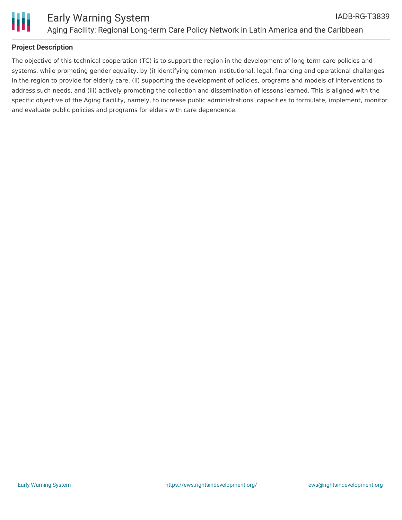

## **Project Description**

The objective of this technical cooperation (TC) is to support the region in the development of long term care policies and systems, while promoting gender equality, by (i) identifying common institutional, legal, financing and operational challenges in the region to provide for elderly care, (ii) supporting the development of policies, programs and models of interventions to address such needs, and (iii) actively promoting the collection and dissemination of lessons learned. This is aligned with the specific objective of the Aging Facility, namely, to increase public administrations' capacities to formulate, implement, monitor and evaluate public policies and programs for elders with care dependence.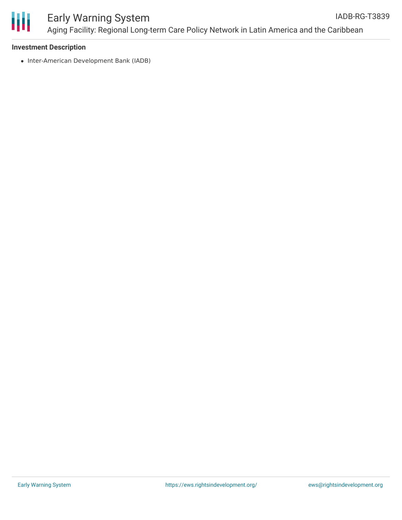

#### Early Warning System Aging Facility: Regional Long-term Care Policy Network in Latin America and the Caribbean IADB-RG-T3839

#### **Investment Description**

• Inter-American Development Bank (IADB)